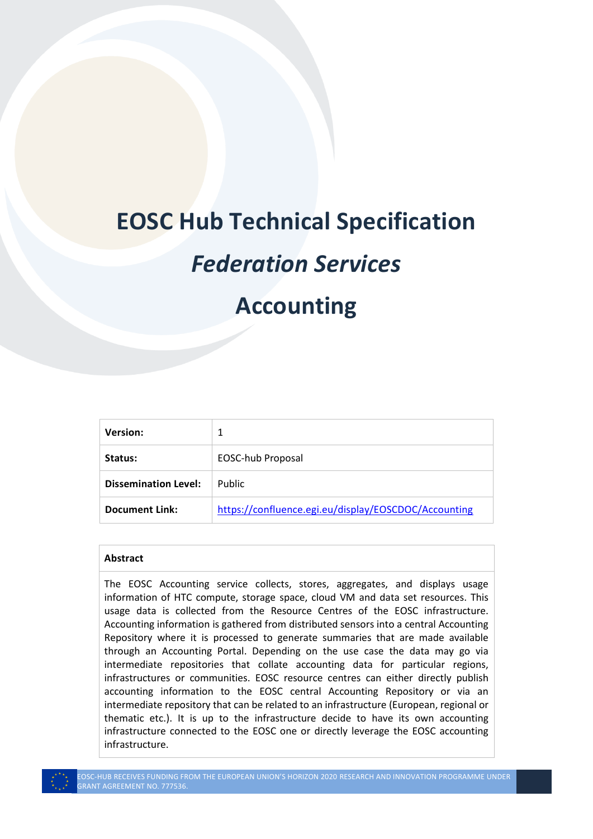# **EOSC Hub Technical Specification**

# *Federation Services*

## **Accounting**

| Version:                    |                                                      |
|-----------------------------|------------------------------------------------------|
| Status:                     | EOSC-hub Proposal                                    |
| <b>Dissemination Level:</b> | <b>Public</b>                                        |
| <b>Document Link:</b>       | https://confluence.egi.eu/display/EOSCDOC/Accounting |

#### **Abstract**

The EOSC Accounting service collects, stores, aggregates, and displays usage information of HTC compute, storage space, cloud VM and data set resources. This usage data is collected from the Resource Centres of the EOSC infrastructure. Accounting information is gathered from distributed sensors into a central Accounting Repository where it is processed to generate summaries that are made available through an Accounting Portal. Depending on the use case the data may go via intermediate repositories that collate accounting data for particular regions, infrastructures or communities. EOSC resource centres can either directly publish accounting information to the EOSC central Accounting Repository or via an intermediate repository that can be related to an infrastructure (European, regional or thematic etc.). It is up to the infrastructure decide to have its own accounting infrastructure connected to the EOSC one or directly leverage the EOSC accounting infrastructure.



EOSC-HUB RECEIVES FUNDING FROM THE EUROPEAN UNION'S HORIZON 2020 RESEARCH AND INNOVATION PROGRAMME UNDER RANT AGREEMENT NO. 777536.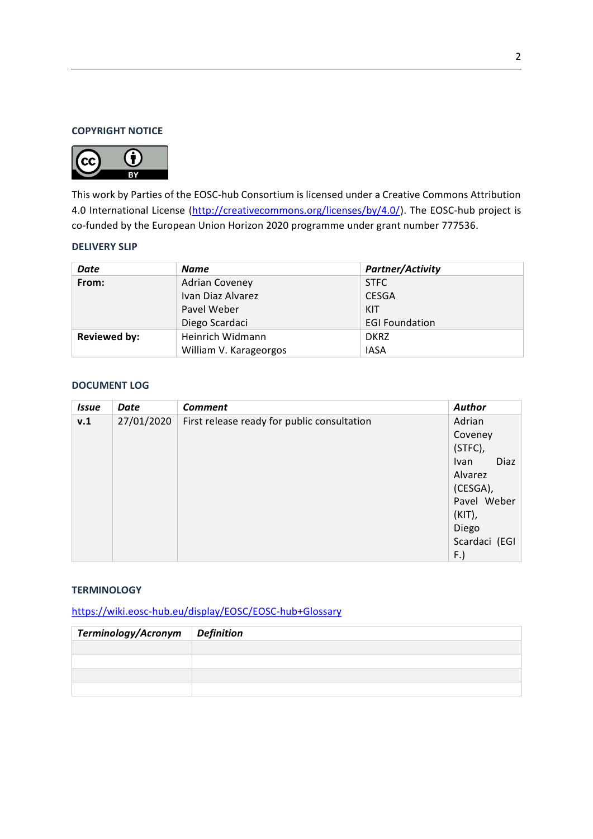#### **COPYRIGHT NOTICE**



This work by Parties of the EOSC-hub Consortium is licensed under a Creative Commons Attribution 4.0 International License [\(http://creativecommons.org/licenses/by/4.0/\)](http://creativecommons.org/licenses/by/4.0/). The EOSC-hub project is co-funded by the European Union Horizon 2020 programme under grant number 777536.

### **DELIVERY SLIP**

| Date                | Name                   | <b>Partner/Activity</b> |
|---------------------|------------------------|-------------------------|
| From:               | <b>Adrian Coveney</b>  | <b>STFC</b>             |
|                     | Ivan Diaz Alvarez      | <b>CESGA</b>            |
|                     | Pavel Weber            | KIT                     |
|                     | Diego Scardaci         | <b>EGI Foundation</b>   |
| <b>Reviewed by:</b> | Heinrich Widmann       | <b>DKRZ</b>             |
|                     | William V. Karageorgos | <b>IASA</b>             |

#### **DOCUMENT LOG**

| <b>Issue</b> | Date       | <b>Comment</b>                              | <b>Author</b>       |
|--------------|------------|---------------------------------------------|---------------------|
| v.1          | 27/01/2020 | First release ready for public consultation | Adrian              |
|              |            |                                             | Coveney             |
|              |            |                                             | (STFC),             |
|              |            |                                             | Diaz<br><b>Ivan</b> |
|              |            |                                             | Alvarez             |
|              |            |                                             | (CESGA),            |
|              |            |                                             | Pavel Weber         |
|              |            |                                             | $(KIT)$ ,           |
|              |            |                                             | Diego               |
|              |            |                                             | Scardaci (EGI       |
|              |            |                                             | F.)                 |

#### **TERMINOLOGY**

<https://wiki.eosc-hub.eu/display/EOSC/EOSC-hub+Glossary>

| Terminology/Acronym | <i>Definition</i> |
|---------------------|-------------------|
|                     |                   |
|                     |                   |
|                     |                   |
|                     |                   |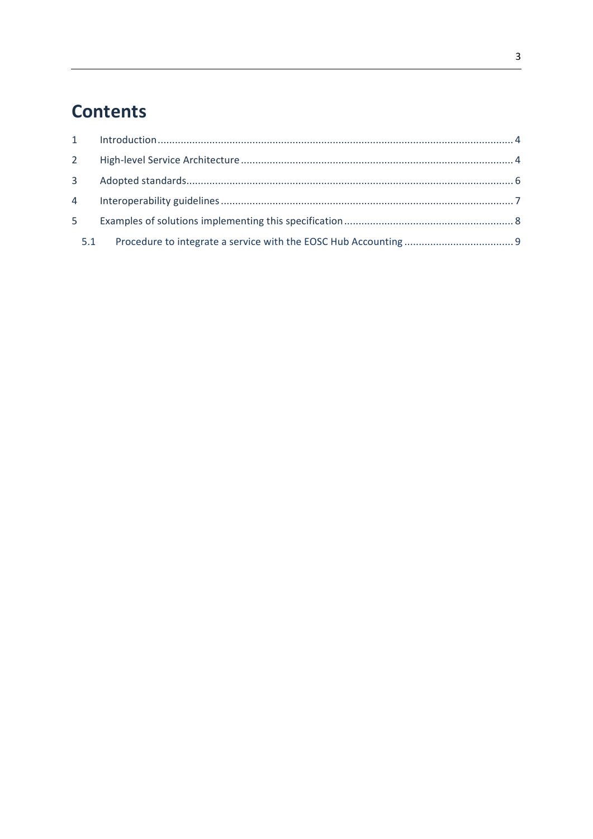## **Contents**

|   | 3 <sup>7</sup> |  |
|---|----------------|--|
|   |                |  |
| 5 |                |  |
|   | 5.1            |  |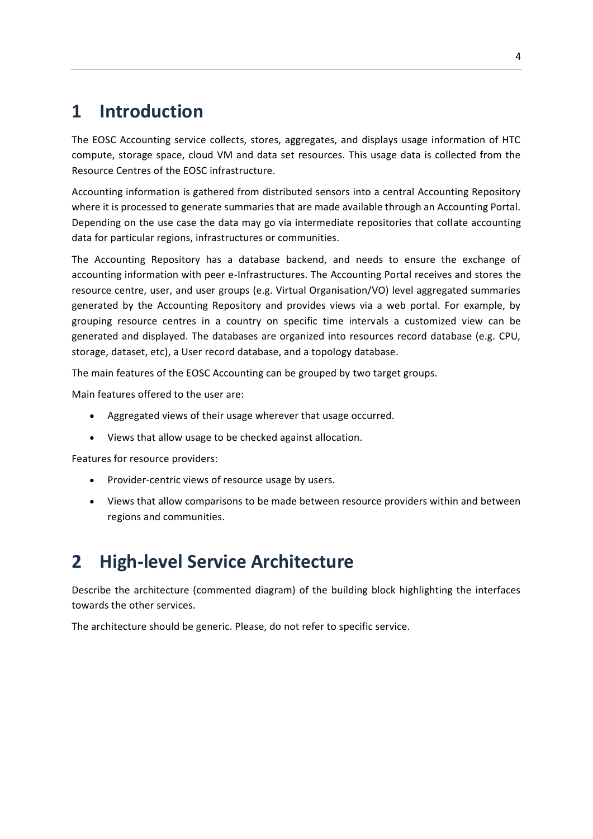### <span id="page-3-0"></span>**1 Introduction**

The EOSC Accounting service collects, stores, aggregates, and displays usage information of HTC compute, storage space, cloud VM and data set resources. This usage data is collected from the Resource Centres of the EOSC infrastructure.

Accounting information is gathered from distributed sensors into a central Accounting Repository where it is processed to generate summaries that are made available through an Accounting Portal. Depending on the use case the data may go via intermediate repositories that collate accounting data for particular regions, infrastructures or communities.

The Accounting Repository has a database backend, and needs to ensure the exchange of accounting information with peer e-Infrastructures. The Accounting Portal receives and stores the resource centre, user, and user groups (e.g. Virtual Organisation/VO) level aggregated summaries generated by the Accounting Repository and provides views via a web portal. For example, by grouping resource centres in a country on specific time intervals a customized view can be generated and displayed. The databases are organized into resources record database (e.g. CPU, storage, dataset, etc), a User record database, and a topology database.

The main features of the EOSC Accounting can be grouped by two target groups.

Main features offered to the user are:

- Aggregated views of their usage wherever that usage occurred.
- Views that allow usage to be checked against allocation.

Features for resource providers:

- Provider-centric views of resource usage by users.
- Views that allow comparisons to be made between resource providers within and between regions and communities.

## <span id="page-3-1"></span>**2 High-level Service Architecture**

Describe the architecture (commented diagram) of the building block highlighting the interfaces towards the other services.

The architecture should be generic. Please, do not refer to specific service.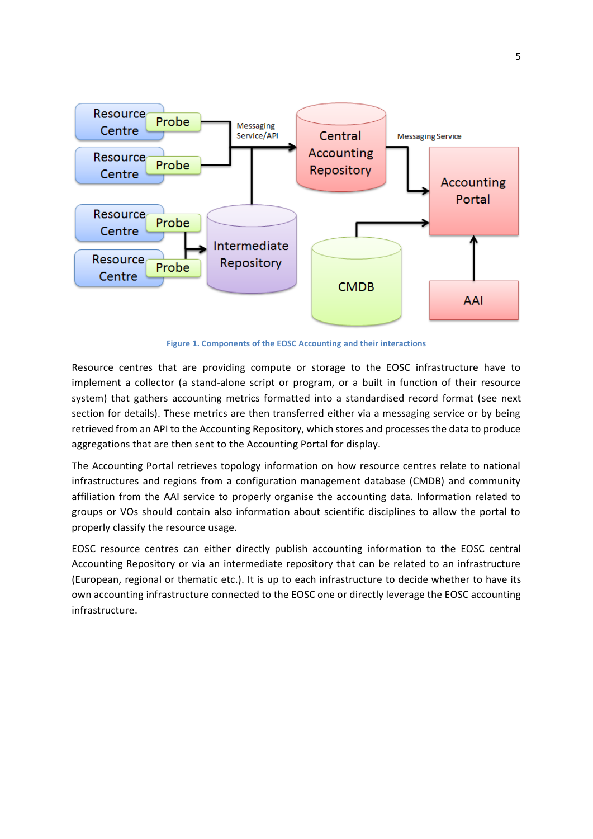

**Figure 1. Components of the EOSC Accounting and their interactions**

Resource centres that are providing compute or storage to the EOSC infrastructure have to implement a collector (a stand-alone script or program, or a built in function of their resource system) that gathers accounting metrics formatted into a standardised record format (see next section for details). These metrics are then transferred either via a messaging service or by being retrieved from an API to the Accounting Repository, which stores and processes the data to produce aggregations that are then sent to the Accounting Portal for display.

The Accounting Portal retrieves topology information on how resource centres relate to national infrastructures and regions from a configuration management database (CMDB) and community affiliation from the AAI service to properly organise the accounting data. Information related to groups or VOs should contain also information about scientific disciplines to allow the portal to properly classify the resource usage.

EOSC resource centres can either directly publish accounting information to the EOSC central Accounting Repository or via an intermediate repository that can be related to an infrastructure (European, regional or thematic etc.). It is up to each infrastructure to decide whether to have its own accounting infrastructure connected to the EOSC one or directly leverage the EOSC accounting infrastructure.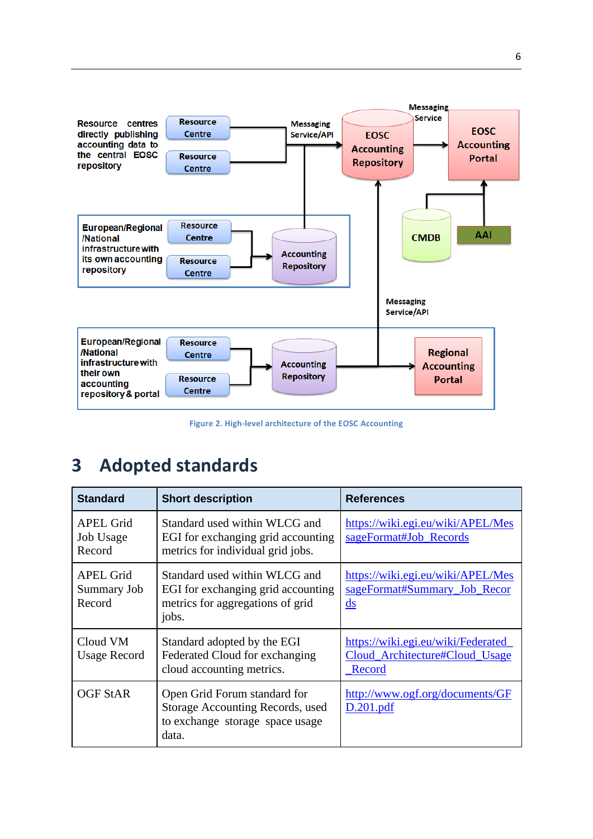

**Figure 2. High-level architecture of the EOSC Accounting**

### <span id="page-5-0"></span>**3 Adopted standards**

| <b>Standard</b>                           | <b>Short description</b>                                                                                         | <b>References</b>                                                                     |
|-------------------------------------------|------------------------------------------------------------------------------------------------------------------|---------------------------------------------------------------------------------------|
| <b>APEL Grid</b><br>Job Usage<br>Record   | Standard used within WLCG and<br>EGI for exchanging grid accounting<br>metrics for individual grid jobs.         | https://wiki.egi.eu/wiki/APEL/Mes<br>sageFormat#Job_Records                           |
| <b>APEL Grid</b><br>Summary Job<br>Record | Standard used within WLCG and<br>EGI for exchanging grid accounting<br>metrics for aggregations of grid<br>jobs. | https://wiki.egi.eu/wiki/APEL/Mes<br>sageFormat#Summary_Job_Recor<br>$\underline{ds}$ |
| Cloud VM<br><b>Usage Record</b>           | Standard adopted by the EGI<br>Federated Cloud for exchanging<br>cloud accounting metrics.                       | https://wiki.egi.eu/wiki/Federated<br>Cloud_Architecture#Cloud_Usage<br>Record        |
| <b>OGF StAR</b>                           | Open Grid Forum standard for<br>Storage Accounting Records, used<br>to exchange storage space usage<br>data.     | http://www.ogf.org/documents/GF<br>D.201.pdf                                          |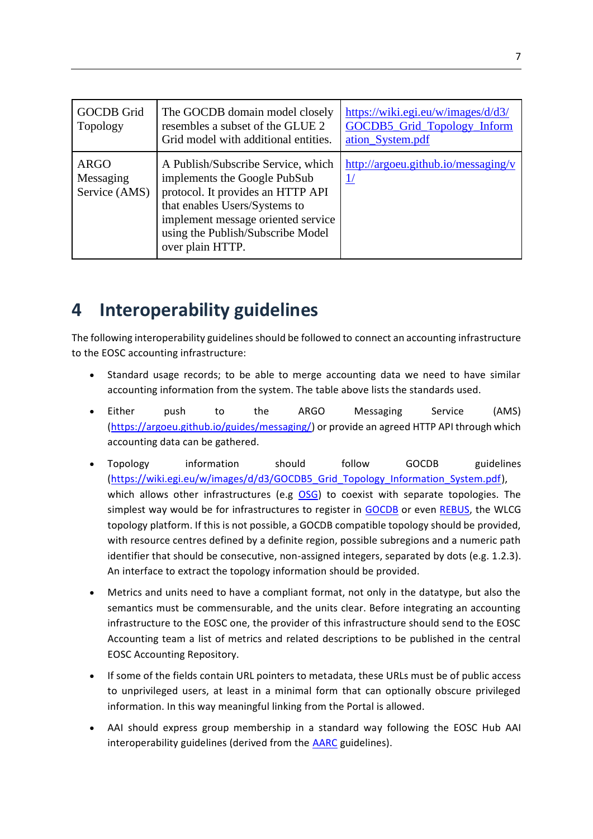| <b>GOCDB</b> Grid<br>Topology             | The GOCDB domain model closely<br>resembles a subset of the GLUE 2<br>Grid model with additional entities.                                                                                                                              | https://wiki.egi.eu/w/images/d/d3/<br>GOCDB5_Grid_Topology_Inform<br>ation_System.pdf |
|-------------------------------------------|-----------------------------------------------------------------------------------------------------------------------------------------------------------------------------------------------------------------------------------------|---------------------------------------------------------------------------------------|
| <b>ARGO</b><br>Messaging<br>Service (AMS) | A Publish/Subscribe Service, which<br>implements the Google PubSub<br>protocol. It provides an HTTP API<br>that enables Users/Systems to<br>implement message oriented service<br>using the Publish/Subscribe Model<br>over plain HTTP. | http://argoeu.github.io/messaging/v                                                   |

## <span id="page-6-0"></span>**4 Interoperability guidelines**

The following interoperability guidelines should be followed to connect an accounting infrastructure to the EOSC accounting infrastructure:

- Standard usage records; to be able to merge accounting data we need to have similar accounting information from the system. The table above lists the standards used.
- Either push to the ARGO Messaging Service (AMS) [\(https://argoeu.github.io/guides/messaging/\)](https://argoeu.github.io/guides/messaging/) or provide an agreed HTTP API through which accounting data can be gathered.
- Topology information should follow GOCDB guidelines [\(https://wiki.egi.eu/w/images/d/d3/GOCDB5\\_Grid\\_Topology\\_Information\\_System.pdf\)](https://wiki.egi.eu/w/images/d/d3/GOCDB5_Grid_Topology_Information_System.pdf), which allows other infrastructures (e.g [OSG\)](https://opensciencegrid.org/) to coexist with separate topologies. The simplest way would be for infrastructures to register in [GOCDB](https://goc.egi.eu/) or even [REBUS,](https://wlcg-rebus.cern.ch/apps/topology/) the WLCG topology platform. If this is not possible, a GOCDB compatible topology should be provided, with resource centres defined by a definite region, possible subregions and a numeric path identifier that should be consecutive, non-assigned integers, separated by dots (e.g. 1.2.3). An interface to extract the topology information should be provided.
- Metrics and units need to have a compliant format, not only in the datatype, but also the semantics must be commensurable, and the units clear. Before integrating an accounting infrastructure to the EOSC one, the provider of this infrastructure should send to the EOSC Accounting team a list of metrics and related descriptions to be published in the central EOSC Accounting Repository.
- If some of the fields contain URL pointers to metadata, these URLs must be of public access to unprivileged users, at least in a minimal form that can optionally obscure privileged information. In this way meaningful linking from the Portal is allowed.
- AAI should express group membership in a standard way following the EOSC Hub AAI interoperability guidelines (derived from the [AARC](https://aarc-project.eu/) guidelines).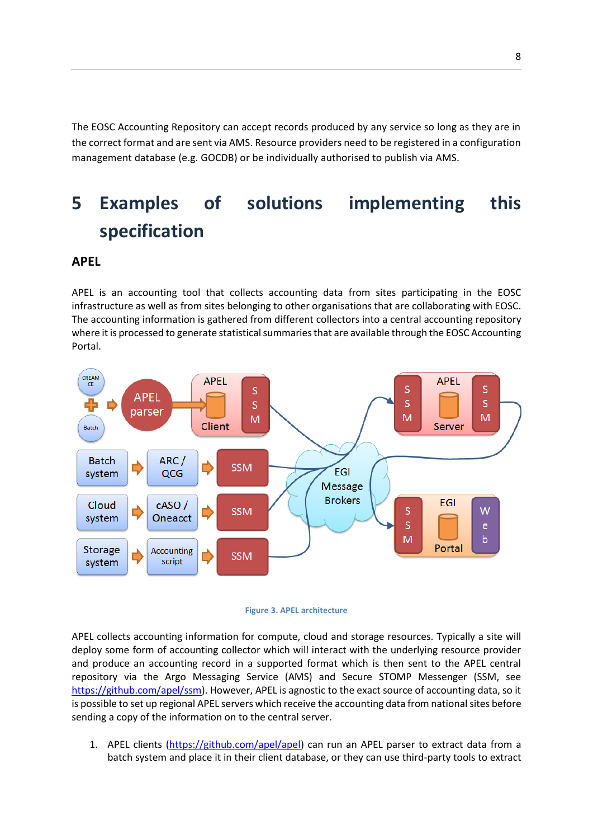The EOSC Accounting Repository can accept records produced by any service so long as they are in the correct format and are sent via AMS. Resource providers need to be registered in a configuration management database (e.g. GOCDB) or be individually authorised to publish via AMS.

## <span id="page-7-0"></span>**5 Examples of solutions implementing this specification**

### **APEL**

APEL is an accounting tool that collects accounting data from sites participating in the EOSC infrastructure as well as from sites belonging to other organisations that are collaborating with EOSC. The accounting information is gathered from different collectors into a central accounting repository where it is processed to generate statistical summaries that are available through the EOSC Accounting Portal.





APEL collects accounting information for compute, cloud and storage resources. Typically a site will deploy some form of accounting collector which will interact with the underlying resource provider and produce an accounting record in a supported format which is then sent to the APEL central repository via the Argo Messaging Service (AMS) and Secure STOMP Messenger (SSM, see [https://github.com/apel/ssm\)](https://github.com/apel/ssm). However, APEL is agnostic to the exact source of accounting data, so it is possible to set up regional APEL servers which receive the accounting data from national sites before sending a copy of the information on to the central server.

1. APEL clients [\(https://github.com/apel/apel\)](https://github.com/apel/apel) can run an APEL parser to extract data from a batch system and place it in their client database, or they can use third-party tools to extract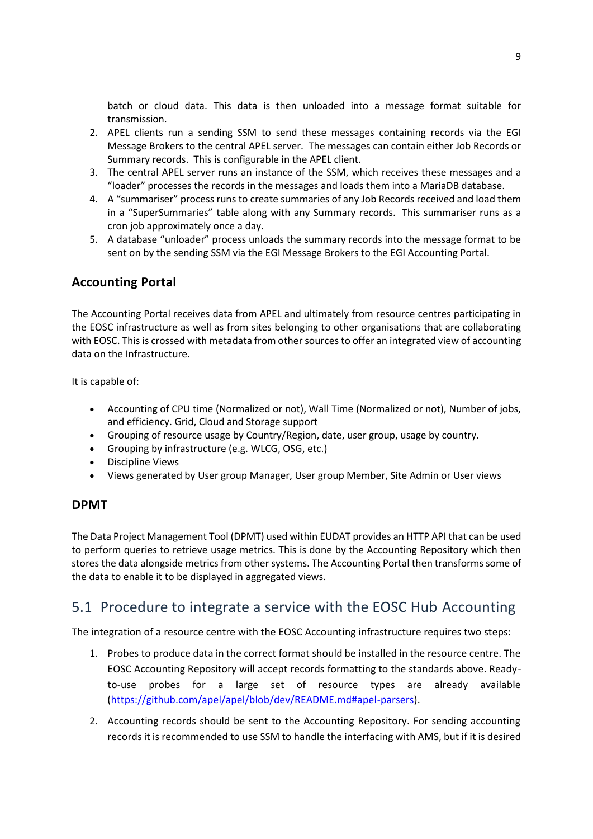batch or cloud data. This data is then unloaded into a message format suitable for transmission.

- 2. APEL clients run a sending SSM to send these messages containing records via the EGI Message Brokers to the central APEL server. The messages can contain either Job Records or Summary records. This is configurable in the APEL client.
- 3. The central APEL server runs an instance of the SSM, which receives these messages and a "loader" processes the records in the messages and loads them into a MariaDB database.
- 4. A "summariser" process runs to create summaries of any Job Records received and load them in a "SuperSummaries" table along with any Summary records. This summariser runs as a cron job approximately once a day.
- 5. A database "unloader" process unloads the summary records into the message format to be sent on by the sending SSM via the EGI Message Brokers to the EGI Accounting Portal.

### **Accounting Portal**

The Accounting Portal receives data from APEL and ultimately from resource centres participating in the EOSC infrastructure as well as from sites belonging to other organisations that are collaborating with EOSC. This is crossed with metadata from other sources to offer an integrated view of accounting data on the Infrastructure.

It is capable of:

- Accounting of CPU time (Normalized or not), Wall Time (Normalized or not), Number of jobs, and efficiency. Grid, Cloud and Storage support
- Grouping of resource usage by Country/Region, date, user group, usage by country.
- Grouping by infrastructure (e.g. WLCG, OSG, etc.)
- Discipline Views
- Views generated by User group Manager, User group Member, Site Admin or User views

### **DPMT**

The Data Project Management Tool (DPMT) used within EUDAT provides an HTTP API that can be used to perform queries to retrieve usage metrics. This is done by the Accounting Repository which then stores the data alongside metrics from other systems. The Accounting Portal then transforms some of the data to enable it to be displayed in aggregated views.

### <span id="page-8-0"></span>5.1 Procedure to integrate a service with the EOSC Hub Accounting

The integration of a resource centre with the EOSC Accounting infrastructure requires two steps:

- 1. Probes to produce data in the correct format should be installed in the resource centre. The EOSC Accounting Repository will accept records formatting to the standards above. Readyto-use probes for a large set of resource types are already available [\(https://github.com/apel/apel/blob/dev/README.md#apel-parsers\)](https://github.com/apel/apel/blob/dev/README.md#apel-parsers).
- 2. Accounting records should be sent to the Accounting Repository. For sending accounting records it is recommended to use SSM to handle the interfacing with AMS, but if it is desired